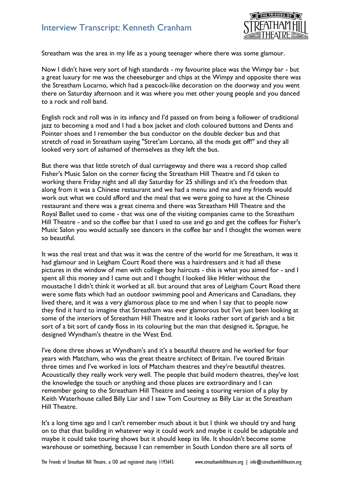## Interview Transcript: Kenneth Cranham



Streatham was the area in my life as a young teenager where there was some glamour.

Now I didn't have very sort of high standards - my favourite place was the Wimpy bar - but a great luxury for me was the cheeseburger and chips at the Wimpy and opposite there was the Streatham Locarno, which had a peacock-like decoration on the doorway and you went there on Saturday afternoon and it was where you met other young people and you danced to a rock and roll band.

English rock and roll was in its infancy and I'd passed on from being a follower of traditional jazz to becoming a mod and I had a box jacket and cloth coloured buttons and Dents and Pointer shoes and I remember the bus conductor on the double decker bus and that stretch of road in Streatham saying "Stret'am Lorcano, all the mods get off!" and they all looked very sort of ashamed of themselves as they left the bus.

But there was that little stretch of dual carriageway and there was a record shop called Fisher's Music Salon on the corner facing the Streatham Hill Theatre and I'd taken to working there Friday night and all day Saturday for 25 shillings and it's the freedom that along from it was a Chinese restaurant and we had a menu and me and my friends would work out what we could afford and the meal that we were going to have at the Chinese restaurant and there was a great cinema and there was Streatham Hill Theatre and the Royal Ballet used to come - that was one of the visiting companies came to the Streatham Hill Theatre - and so the coffee bar that I used to use and go and get the coffees for Fisher's Music Salon you would actually see dancers in the coffee bar and I thought the women were so beautiful.

It was the real treat and that was it was the centre of the world for me Streatham, it was it had glamour and in Leigham Court Road there was a hairdressers and it had all these pictures in the window of men with college boy haircuts - this is what you aimed for - and I spent all this money and I came out and I thought I looked like Hitler without the moustache I didn't think it worked at all. but around that area of Leigham Court Road there were some flats which had an outdoor swimming pool and Americans and Canadians, they lived there, and it was a very glamorous place to me and when I say that to people now they find it hard to imagine that Streatham was ever glamorous but I've just been looking at some of the interiors of Streatham Hill Theatre and it looks rather sort of garish and a bit sort of a bit sort of candy floss in its colouring but the man that designed it, Sprague, he designed Wyndham's theatre in the West End.

I've done three shows at Wyndham's and it's a beautiful theatre and he worked for four years with Matcham, who was the great theatre architect of Britain. I've toured Britain three times and I've worked in lots of Matcham theatres and they're beautiful theatres. Acoustically they really work very well. The people that build modern theatres, they've lost the knowledge the touch or anything and those places are extraordinary and I can remember going to the Streatham Hill Theatre and seeing a touring version of a play by Keith Waterhouse called Billy Liar and I saw Tom Courtney as Billy Liar at the Streatham Hill Theatre.

It's a long time ago and I can't remember much about it but I think we should try and hang on to that that building in whatever way it could work and maybe it could be adaptable and maybe it could take touring shows but it should keep its life. It shouldn't become some warehouse or something, because I can remember in South London there are all sorts of